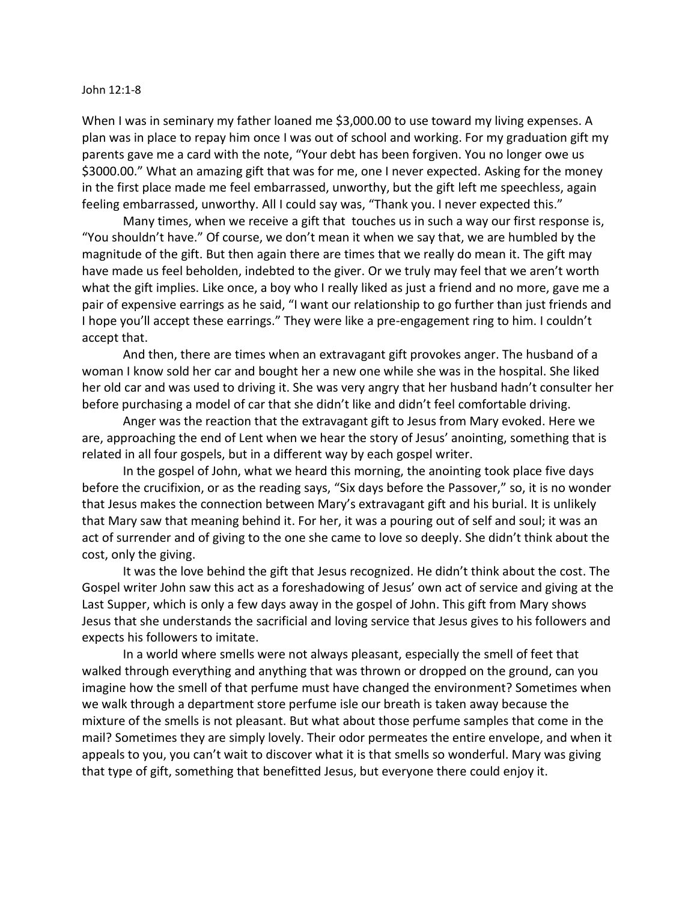## John 12:1-8

When I was in seminary my father loaned me \$3,000.00 to use toward my living expenses. A plan was in place to repay him once I was out of school and working. For my graduation gift my parents gave me a card with the note, "Your debt has been forgiven. You no longer owe us \$3000.00." What an amazing gift that was for me, one I never expected. Asking for the money in the first place made me feel embarrassed, unworthy, but the gift left me speechless, again feeling embarrassed, unworthy. All I could say was, "Thank you. I never expected this."

Many times, when we receive a gift that touches us in such a way our first response is, "You shouldn't have." Of course, we don't mean it when we say that, we are humbled by the magnitude of the gift. But then again there are times that we really do mean it. The gift may have made us feel beholden, indebted to the giver. Or we truly may feel that we aren't worth what the gift implies. Like once, a boy who I really liked as just a friend and no more, gave me a pair of expensive earrings as he said, "I want our relationship to go further than just friends and I hope you'll accept these earrings." They were like a pre-engagement ring to him. I couldn't accept that.

And then, there are times when an extravagant gift provokes anger. The husband of a woman I know sold her car and bought her a new one while she was in the hospital. She liked her old car and was used to driving it. She was very angry that her husband hadn't consulter her before purchasing a model of car that she didn't like and didn't feel comfortable driving.

Anger was the reaction that the extravagant gift to Jesus from Mary evoked. Here we are, approaching the end of Lent when we hear the story of Jesus' anointing, something that is related in all four gospels, but in a different way by each gospel writer.

In the gospel of John, what we heard this morning, the anointing took place five days before the crucifixion, or as the reading says, "Six days before the Passover," so, it is no wonder that Jesus makes the connection between Mary's extravagant gift and his burial. It is unlikely that Mary saw that meaning behind it. For her, it was a pouring out of self and soul; it was an act of surrender and of giving to the one she came to love so deeply. She didn't think about the cost, only the giving.

It was the love behind the gift that Jesus recognized. He didn't think about the cost. The Gospel writer John saw this act as a foreshadowing of Jesus' own act of service and giving at the Last Supper, which is only a few days away in the gospel of John. This gift from Mary shows Jesus that she understands the sacrificial and loving service that Jesus gives to his followers and expects his followers to imitate.

In a world where smells were not always pleasant, especially the smell of feet that walked through everything and anything that was thrown or dropped on the ground, can you imagine how the smell of that perfume must have changed the environment? Sometimes when we walk through a department store perfume isle our breath is taken away because the mixture of the smells is not pleasant. But what about those perfume samples that come in the mail? Sometimes they are simply lovely. Their odor permeates the entire envelope, and when it appeals to you, you can't wait to discover what it is that smells so wonderful. Mary was giving that type of gift, something that benefitted Jesus, but everyone there could enjoy it.